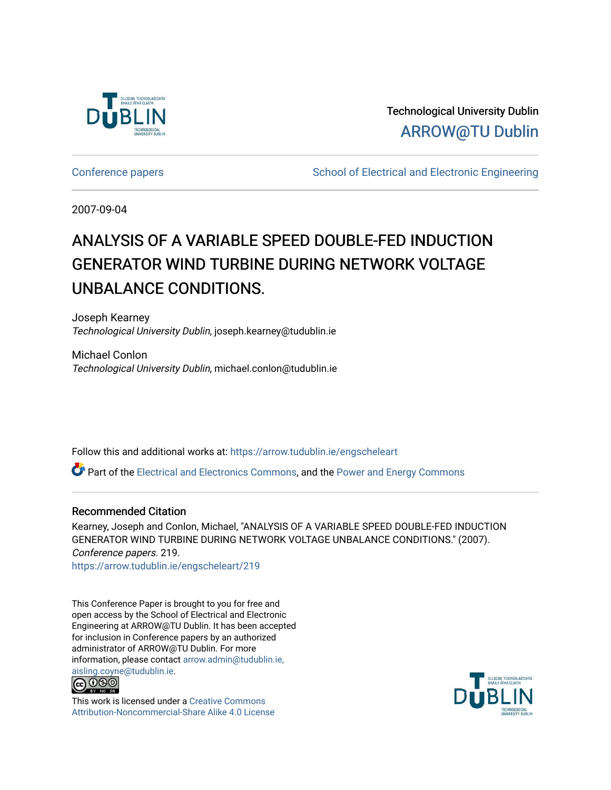

Technological University Dublin [ARROW@TU Dublin](https://arrow.tudublin.ie/) 

[Conference papers](https://arrow.tudublin.ie/engscheleart) **School of Electrical and Electronic Engineering** 

2007-09-04

# ANALYSIS OF A VARIABLE SPEED DOUBLE-FED INDUCTION GENERATOR WIND TURBINE DURING NETWORK VOLTAGE UNBALANCE CONDITIONS.

Joseph Kearney Technological University Dublin, joseph.kearney@tudublin.ie

Michael Conlon Technological University Dublin, michael.conlon@tudublin.ie

Follow this and additional works at: [https://arrow.tudublin.ie/engscheleart](https://arrow.tudublin.ie/engscheleart?utm_source=arrow.tudublin.ie%2Fengscheleart%2F219&utm_medium=PDF&utm_campaign=PDFCoverPages) 

Part of the [Electrical and Electronics Commons](http://network.bepress.com/hgg/discipline/270?utm_source=arrow.tudublin.ie%2Fengscheleart%2F219&utm_medium=PDF&utm_campaign=PDFCoverPages), and the [Power and Energy Commons](http://network.bepress.com/hgg/discipline/274?utm_source=arrow.tudublin.ie%2Fengscheleart%2F219&utm_medium=PDF&utm_campaign=PDFCoverPages) 

# Recommended Citation

Kearney, Joseph and Conlon, Michael, "ANALYSIS OF A VARIABLE SPEED DOUBLE-FED INDUCTION GENERATOR WIND TURBINE DURING NETWORK VOLTAGE UNBALANCE CONDITIONS." (2007). Conference papers. 219.

[https://arrow.tudublin.ie/engscheleart/219](https://arrow.tudublin.ie/engscheleart/219?utm_source=arrow.tudublin.ie%2Fengscheleart%2F219&utm_medium=PDF&utm_campaign=PDFCoverPages) 

This Conference Paper is brought to you for free and open access by the School of Electrical and Electronic Engineering at ARROW@TU Dublin. It has been accepted for inclusion in Conference papers by an authorized administrator of ARROW@TU Dublin. For more information, please contact [arrow.admin@tudublin.ie,](mailto:arrow.admin@tudublin.ie,%20aisling.coyne@tudublin.ie)  [aisling.coyne@tudublin.ie.](mailto:arrow.admin@tudublin.ie,%20aisling.coyne@tudublin.ie)<br>@009



This work is licensed under a [Creative Commons](http://creativecommons.org/licenses/by-nc-sa/4.0/) [Attribution-Noncommercial-Share Alike 4.0 License](http://creativecommons.org/licenses/by-nc-sa/4.0/)

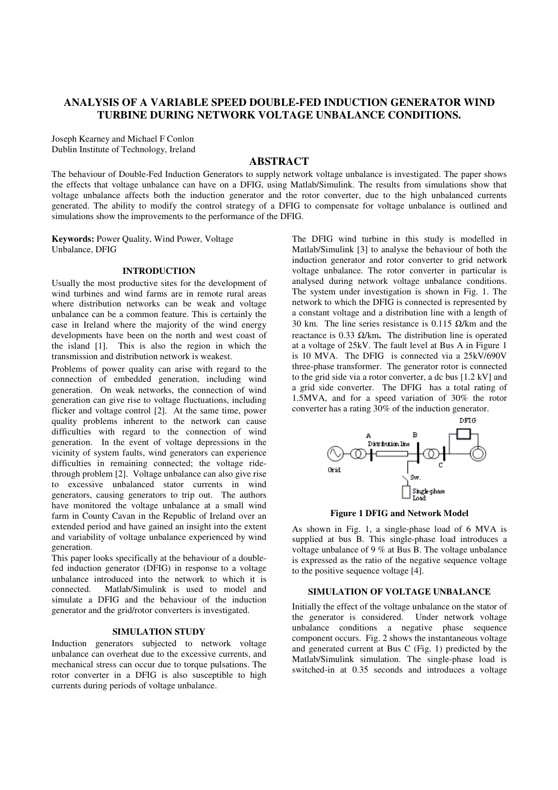# **ANALYSIS OF A VARIABLE SPEED DOUBLE-FED INDUCTION GENERATOR WIND TURBINE DURING NETWORK VOLTAGE UNBALANCE CONDITIONS.**

Joseph Kearney and Michael F Conlon Dublin Institute of Technology, Ireland

# **ABSTRACT**

The behaviour of Double-Fed Induction Generators to supply network voltage unbalance is investigated. The paper shows the effects that voltage unbalance can have on a DFIG, using Matlab/Simulink. The results from simulations show that voltage unbalance affects both the induction generator and the rotor converter, due to the high unbalanced currents generated. The ability to modify the control strategy of a DFIG to compensate for voltage unbalance is outlined and simulations show the improvements to the performance of the DFIG.

**Keywords:** Power Quality, Wind Power, Voltage Unbalance, DFIG

#### **INTRODUCTION**

Usually the most productive sites for the development of wind turbines and wind farms are in remote rural areas where distribution networks can be weak and voltage unbalance can be a common feature. This is certainly the case in Ireland where the majority of the wind energy developments have been on the north and west coast of the island [1]. This is also the region in which the transmission and distribution network is weakest.

Problems of power quality can arise with regard to the connection of embedded generation, including wind generation. On weak networks, the connection of wind generation can give rise to voltage fluctuations, including flicker and voltage control [2]. At the same time, power quality problems inherent to the network can cause difficulties with regard to the connection of wind generation. In the event of voltage depressions in the vicinity of system faults, wind generators can experience difficulties in remaining connected; the voltage ridethrough problem [2]. Voltage unbalance can also give rise to excessive unbalanced stator currents in wind generators, causing generators to trip out. The authors have monitored the voltage unbalance at a small wind farm in County Cavan in the Republic of Ireland over an extended period and have gained an insight into the extent and variability of voltage unbalance experienced by wind generation.

This paper looks specifically at the behaviour of a doublefed induction generator (DFIG) in response to a voltage unbalance introduced into the network to which it is connected. Matlab/Simulink is used to model and simulate a DFIG and the behaviour of the induction generator and the grid/rotor converters is investigated.

#### **SIMULATION STUDY**

Induction generators subjected to network voltage unbalance can overheat due to the excessive currents, and mechanical stress can occur due to torque pulsations. The rotor converter in a DFIG is also susceptible to high currents during periods of voltage unbalance.

The DFIG wind turbine in this study is modelled in Matlab/Simulink [3] to analyse the behaviour of both the induction generator and rotor converter to grid network voltage unbalance. The rotor converter in particular is analysed during network voltage unbalance conditions. The system under investigation is shown in Fig. 1. The network to which the DFIG is connected is represented by a constant voltage and a distribution line with a length of 30 km. The line series resistance is 0.115  $\Omega$ /km and the reactance is 0.33 Ω/km**.** The distribution line is operated at a voltage of 25kV. The fault level at Bus A in Figure 1 is 10 MVA. The DFIG is connected via a 25kV/690V three-phase transformer. The generator rotor is connected to the grid side via a rotor converter, a dc bus [1.2 kV] and a grid side converter. The DFIG has a total rating of 1.5MVA, and for a speed variation of 30% the rotor converter has a rating 30% of the induction generator.



**Figure 1 DFIG and Network Model** 

As shown in Fig. 1, a single-phase load of 6 MVA is supplied at bus B. This single-phase load introduces a voltage unbalance of 9 % at Bus B. The voltage unbalance is expressed as the ratio of the negative sequence voltage to the positive sequence voltage [4].

#### **SIMULATION OF VOLTAGE UNBALANCE**

Initially the effect of the voltage unbalance on the stator of the generator is considered. Under network voltage unbalance conditions a negative phase sequence component occurs. Fig. 2 shows the instantaneous voltage and generated current at Bus C (Fig. 1) predicted by the Matlab/Simulink simulation. The single-phase load is switched-in at 0.35 seconds and introduces a voltage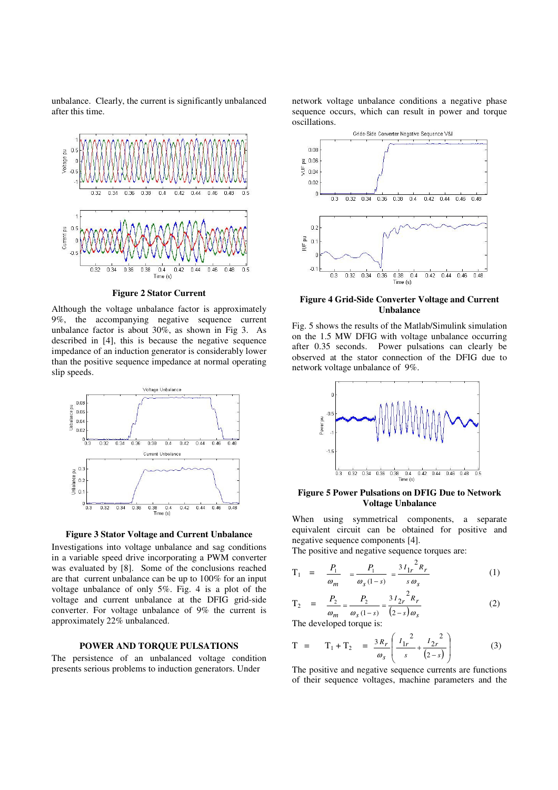unbalance. Clearly, the current is significantly unbalanced after this time.



**Figure 2 Stator Current** 

Although the voltage unbalance factor is approximately 9%, the accompanying negative sequence current unbalance factor is about 30%, as shown in Fig 3. As described in [4], this is because the negative sequence impedance of an induction generator is considerably lower than the positive sequence impedance at normal operating slip speeds.





Investigations into voltage unbalance and sag conditions in a variable speed drive incorporating a PWM converter was evaluated by [8]. Some of the conclusions reached are that current unbalance can be up to 100% for an input voltage unbalance of only 5%. Fig. 4 is a plot of the voltage and current unbalance at the DFIG grid-side converter. For voltage unbalance of 9% the current is approximately 22% unbalanced.

## **POWER AND TORQUE PULSATIONS**

The persistence of an unbalanced voltage condition presents serious problems to induction generators. Under

network voltage unbalance conditions a negative phase sequence occurs, which can result in power and torque oscillations.



**Figure 4 Grid-Side Converter Voltage and Current Unbalance** 

Fig. 5 shows the results of the Matlab/Simulink simulation on the 1.5 MW DFIG with voltage unbalance occurring after 0.35 seconds. Power pulsations can clearly be observed at the stator connection of the DFIG due to network voltage unbalance of 9%.



**Figure 5 Power Pulsations on DFIG Due to Network Voltage Unbalance** 

When using symmetrical components, a separate equivalent circuit can be obtained for positive and negative sequence components [4].

The positive and negative sequence torques are:

$$
T_1 = \frac{P_1}{\omega_m} = \frac{P_1}{\omega_s (1-s)} = \frac{3 I_{1r}^2 R_r}{s \omega_s}
$$
 (1)

$$
T_2 = \frac{P_2}{\omega_m} = \frac{P_2}{\omega_s (1-s)} = \frac{3 I_{2r}^2 R_r}{(2-s) \omega_s}
$$
 (2)

The developed torque is:

$$
T = T_1 + T_2 = \frac{3R_r}{\omega_s} \left( \frac{I_{1r}^{2}}{s} + \frac{I_{2r}^{2}}{(2-s)} \right)
$$
(3)

The positive and negative sequence currents are functions of their sequence voltages, machine parameters and the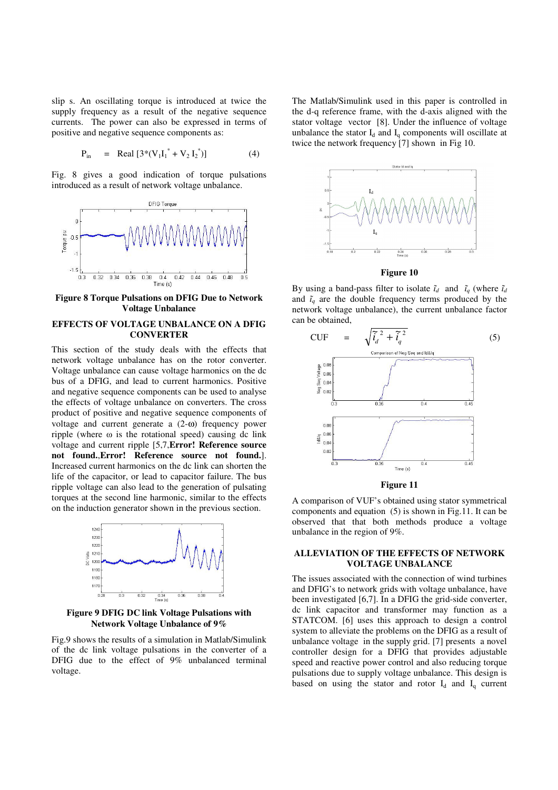slip s. An oscillating torque is introduced at twice the supply frequency as a result of the negative sequence currents. The power can also be expressed in terms of positive and negative sequence components as:

$$
P_{in} = Real [3*(V_1I_1^* + V_2I_2^*)]
$$
 (4)

Fig. 8 gives a good indication of torque pulsations introduced as a result of network voltage unbalance.



**Figure 8 Torque Pulsations on DFIG Due to Network Voltage Unbalance** 

### **EFFECTS OF VOLTAGE UNBALANCE ON A DFIG CONVERTER**

This section of the study deals with the effects that network voltage unbalance has on the rotor converter. Voltage unbalance can cause voltage harmonics on the dc bus of a DFIG, and lead to current harmonics. Positive and negative sequence components can be used to analyse the effects of voltage unbalance on converters. The cross product of positive and negative sequence components of voltage and current generate a (2-ω) frequency power ripple (where  $\omega$  is the rotational speed) causing dc link voltage and current ripple [5,7,**Error! Reference source not found.**,**Error! Reference source not found.**]. Increased current harmonics on the dc link can shorten the life of the capacitor, or lead to capacitor failure. The bus ripple voltage can also lead to the generation of pulsating torques at the second line harmonic, similar to the effects on the induction generator shown in the previous section.



**Figure 9 DFIG DC link Voltage Pulsations with Network Voltage Unbalance of 9%** 

Fig.9 shows the results of a simulation in Matlab/Simulink of the dc link voltage pulsations in the converter of a DFIG due to the effect of 9% unbalanced terminal voltage.

The Matlab/Simulink used in this paper is controlled in the d-q reference frame, with the d-axis aligned with the stator voltage vector [8]. Under the influence of voltage unbalance the stator  $I_d$  and  $I_q$  components will oscillate at twice the network frequency [7] shown in Fig 10.



**Figure 10** 

By using a band-pass filter to isolate  $\tilde{t}_d$  and  $\tilde{t}_q$  (where  $\tilde{t}_d$ and  $\tilde{t}_q$  are the double frequency terms produced by the network voltage unbalance), the current unbalance factor can be obtained,



**Figure 11** 

A comparison of VUF's obtained using stator symmetrical components and equation (5) is shown in Fig.11. It can be observed that that both methods produce a voltage unbalance in the region of 9%.

## **ALLEVIATION OF THE EFFECTS OF NETWORK VOLTAGE UNBALANCE**

The issues associated with the connection of wind turbines and DFIG's to network grids with voltage unbalance, have been investigated [6,7]. In a DFIG the grid-side converter, dc link capacitor and transformer may function as a STATCOM. [6] uses this approach to design a control system to alleviate the problems on the DFIG as a result of unbalance voltage in the supply grid. [7] presents a novel controller design for a DFIG that provides adjustable speed and reactive power control and also reducing torque pulsations due to supply voltage unbalance. This design is based on using the stator and rotor  $I_d$  and  $I_q$  current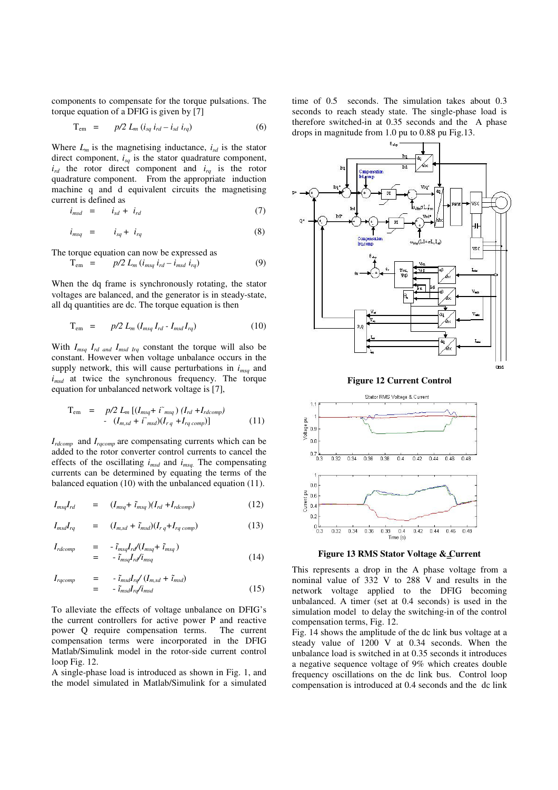components to compensate for the torque pulsations. The torque equation of a DFIG is given by [7]

$$
T_{em} = p/2 L_m (i_{sq} i_{rd} - i_{sd} i_{rq})
$$
 (6)

Where  $L_m$  is the magnetising inductance,  $i_{sd}$  is the stator direct component, *isq* is the stator quadrature component,  $i_{rd}$  the rotor direct component and  $i_{rq}$  is the rotor quadrature component. From the appropriate induction machine q and d equivalent circuits the magnetising current is defined as

$$
i_{msd} = i_{sd} + i_{rd} \tag{7}
$$

$$
i_{msg} = i_{sq} + i_{rq} \tag{8}
$$

The torque equation can now be expressed as

$$
T_{em} = p/2 L_m (i_{msq} i_{rd} - i_{msd} i_{rq})
$$
 (9)

When the dq frame is synchronously rotating, the stator voltages are balanced, and the generator is in steady-state, all dq quantities are dc. The torque equation is then

$$
T_{em} = p/2 L_m (I_{msg} I_{rd} - I_{msd} I_{rq})
$$
 (10)

With  $I_{mg}$   $I_{rd}$  and  $I_{msd}$   $I_{rq}$  constant the torque will also be constant. However when voltage unbalance occurs in the supply network, this will cause perturbations in  $i_{msq}$  and  $i_{med}$  at twice the synchronous frequency. The torque equation for unbalanced network voltage is [7],

$$
T_{em} = p/2 L_m [(I_{msg} + i\tilde{r}_{msg}) (I_{rd} + I_{rdcomp})
$$
  
-  $(I_{m,sd} + i\tilde{r}_{msd}) (I_{rq} + I_{rq comp})]$  (11)

*Irdcomp* and *Irqcomp* are compensating currents which can be added to the rotor converter control currents to cancel the effects of the oscillating  $i_{msd}$  and  $i_{msd}$ . The compensating currents can be determined by equating the terms of the balanced equation (10) with the unbalanced equation (11).

$$
I_{msg}I_{rd} = (I_{msg} + \tilde{\iota}_{msg}) (I_{rd} + I_{rdcomp})
$$
 (12)

$$
I_{msd}I_{rq} = (I_{m,sd} + \tilde{\iota}_{msd})(I_{rq} + I_{rq\,comp})
$$
\n(13)

$$
I_{rdcomp} = -\tilde{t}_{msg}I_{rd}(I_{msg} + \tilde{t}_{msg})
$$
  
= -\tilde{t}\_{msg}I\_{rd}\tilde{t}\_{msg} (14) Figure 13 RMS Stator Voltage & Current

$$
I_{rqcomp} = -\tilde{i}_{msd}I_{rq'}(I_{m,sd} + \tilde{i}_{msd})
$$
  
=  $-\tilde{i}_{msd}I_{rq'}i_{msd}$  (15)

To alleviate the effects of voltage unbalance on DFIG's the current controllers for active power P and reactive power Q require compensation terms. The current compensation terms were incorporated in the DFIG Matlab/Simulink model in the rotor-side current control loop Fig. 12.

A single-phase load is introduced as shown in Fig. 1, and the model simulated in Matlab/Simulink for a simulated time of 0.5 seconds. The simulation takes about 0.3 seconds to reach steady state. The single-phase load is therefore switched-in at 0.35 seconds and the A phase drops in magnitude from 1.0 pu to 0.88 pu Fig.13.



**Figure 12 Current Control** 



This represents a drop in the A phase voltage from a nominal value of 332 V to 288 V and results in the network voltage applied to the DFIG becoming unbalanced. A timer (set at 0.4 seconds) is used in the simulation model to delay the switching-in of the control compensation terms, Fig. 12.

Fig. 14 shows the amplitude of the dc link bus voltage at a steady value of 1200 V at 0.34 seconds. When the unbalance load is switched in at 0.35 seconds it introduces a negative sequence voltage of 9% which creates double frequency oscillations on the dc link bus. Control loop compensation is introduced at 0.4 seconds and the dc link